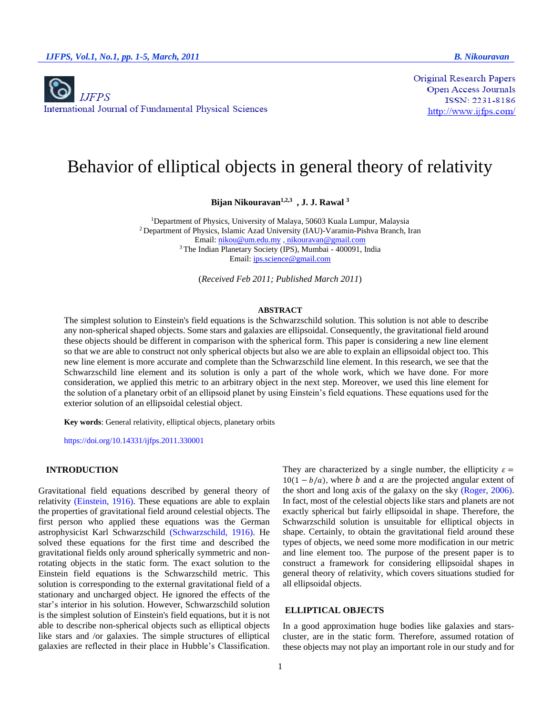

**Original Research Papers** Open Access Journals ISSN: 2231-8186  $\frac{http://www.ijfps.com/}{$ 

# Behavior of elliptical objects in general theory of relativity

**Bijan Nikouravan1,2,3 , J. J. Rawal <sup>3</sup>**

<sup>1</sup>Department of Physics, University of Malaya, 50603 Kuala Lumpur, Malaysia <sup>2</sup> Department of Physics, Islamic Azad University (IAU)-Varamin-Pishva Branch, Iran Email: [nikou@um.edu.my](mailto:nikou@um.edu.my) , nikouravan@gmail.com <sup>3</sup> The Indian Planetary Society (IPS), Mumbai - 400091, India Email[: ips.science@gmail.com](mailto:ips.science@gmail.com)

(*Received Feb 2011; Published March 2011*)

#### **ABSTRACT**

The simplest solution to Einstein's field equations is the Schwarzschild solution. This solution is not able to describe any non-spherical shaped objects. Some stars and galaxies are ellipsoidal. Consequently, the gravitational field around these objects should be different in comparison with the spherical form. This paper is considering a new line element so that we are able to construct not only spherical objects but also we are able to explain an ellipsoidal object too. This new line element is more accurate and complete than the Schwarzschild line element. In this research, we see that the Schwarzschild line element and its solution is only a part of the whole work, which we have done. For more consideration, we applied this metric to an arbitrary object in the next step. Moreover, we used this line element for the solution of a planetary orbit of an ellipsoid planet by using Einstein's field equations. These equations used for the exterior solution of an ellipsoidal celestial object.

**Key words**: General relativity, elliptical objects, planetary orbits

https://doi.org/10.14331/ijfps.2011.330001

## **INTRODUCTION**

Gravitational field equations described by general theory of relativity (Einstein, 1916). These equations are able to explain the properties of gravitational field around celestial objects. The first person who applied these equations was the German astrophysicist Karl Schwarzschild (Schwarzschild, 1916). He solved these equations for the first time and described the gravitational fields only around spherically symmetric and nonrotating objects in the static form. The exact solution to the Einstein field equations is the Schwarzschild metric. This solution is corresponding to the external gravitational field of a stationary and uncharged object. He ignored the effects of the star's interior in his solution. However, Schwarzschild solution is the simplest solution of Einstein's field equations, but it is not able to describe non-spherical objects such as elliptical objects like stars and /or galaxies. The simple structures of elliptical galaxies are reflected in their place in Hubble's Classification. They are characterized by a single number, the ellipticity  $\varepsilon =$  $10(1 - b/a)$ , where *b* and *a* are the projected angular extent of the short and long axis of the galaxy on the sky (Roger, 2006). In fact, most of the celestial objects like stars and planets are not exactly spherical but fairly ellipsoidal in shape. Therefore, the Schwarzschild solution is unsuitable for elliptical objects in shape. Certainly, to obtain the gravitational field around these types of objects, we need some more modification in our metric and line element too. The purpose of the present paper is to construct a framework for considering ellipsoidal shapes in general theory of relativity, which covers situations studied for all ellipsoidal objects.

## **ELLIPTICAL OBJECTS**

In a good approximation huge bodies like galaxies and starscluster, are in the static form. Therefore, assumed rotation of these objects may not play an important role in our study and for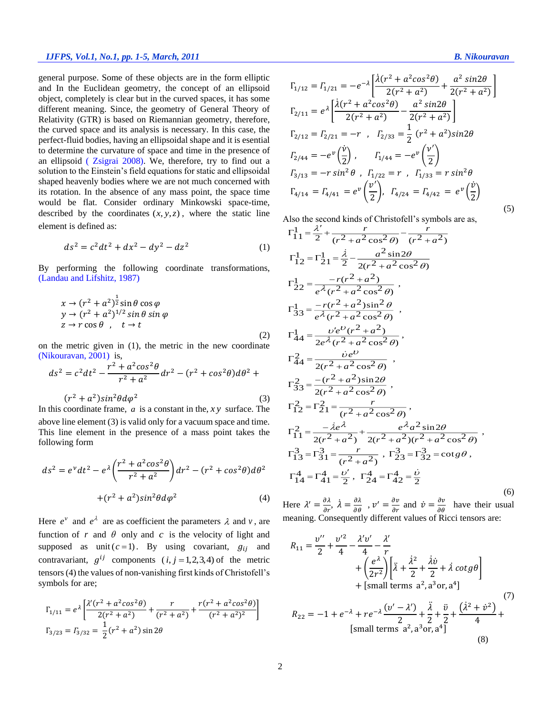#### *IJFPS, Vol.1, No.1, pp. 1-5, March, 2011 B. Nikouravan*

general purpose. Some of these objects are in the form elliptic and In the Euclidean geometry, the concept of an ellipsoid object, completely is clear but in the curved spaces, it has some different meaning. Since, the geometry of General Theory of Relativity (GTR) is based on Riemannian geometry, therefore, the curved space and its analysis is necessary. In this case, the perfect-fluid bodies, having an ellipsoidal shape and it is esential to determine the curvature of space and time in the presence of an ellipsoid ( Zsigrai 2008). We, therefore, try to find out a solution to the Einstein's field equations for static and ellipsoidal shaped heavenly bodies where we are not much concerned with its rotation. In the absence of any mass point, the space time would be flat. Consider ordinary Minkowski space-time, described by the coordinates  $(x, y, z)$ , where the static line element is defined as:

$$
ds^2 = c^2 dt^2 + dx^2 - dy^2 - dz^2 \tag{1}
$$

By performing the following coordinate transformations, (Landau and Lifshitz, 1987)

$$
x \to (r^2 + a^2)^{\frac{1}{2}} \sin \theta \cos \varphi
$$
  
\n
$$
y \to (r^2 + a^2)^{1/2} \sin \theta \sin \varphi
$$
  
\n
$$
z \to r \cos \theta , \quad t \to t
$$
  
\n(2)

on the metric given in (1), the metric in the new coordinate (Nikouravan, 2001) is,

$$
ds^{2} = c^{2}dt^{2} - \frac{r^{2} + a^{2}cos^{2}\theta}{r^{2} + a^{2}}dr^{2} - (r^{2} + cos^{2}\theta)d\theta^{2} +
$$
  
(r<sup>2</sup> + a<sup>2</sup>)sin<sup>2</sup>θdφ<sup>2</sup> (3)

In this coordinate frame,  $a$  is a constant in the,  $xy$  surface. The above line element (3) is valid only for a vacuum space and time. This line element in the presence of a mass point takes the following form

$$
ds^{2} = e^{\nu}dt^{2} - e^{\lambda} \left(\frac{r^{2} + a^{2} \cos^{2} \theta}{r^{2} + a^{2}}\right) dr^{2} - (r^{2} + \cos^{2} \theta) d\theta^{2}
$$

$$
+ (r^{2} + a^{2}) \sin^{2} \theta d\varphi^{2}
$$
(4)

Here  $e^v$  and  $e^{\lambda}$  are as coefficient the parameters  $\lambda$  and  $v$ , are function of r and  $\theta$  only and c is the velocity of light and supposed as unit  $(c=1)$ . By using covariant,  $g_{ij}$  and contravariant,  $g^{ij}$  components  $(i, j = 1, 2, 3, 4)$  of the metric tensors(4) the values of non-vanishing first kinds of Christofell's symbols for are;

$$
\Gamma_{1/11} = e^{\lambda} \left[ \frac{\lambda'(r^2 + a^2 \cos^2 \theta)}{2(r^2 + a^2)} + \frac{r}{(r^2 + a^2)} + \frac{r(r^2 + a^2 \cos^2 \theta)}{(r^2 + a^2)^2} \right]
$$
  

$$
\Gamma_{3/23} = \Gamma_{3/32} = \frac{1}{2} (r^2 + a^2) \sin 2\theta
$$

(5)

$$
\Gamma_{1/12} = \Gamma_{1/21} = -e^{-\lambda} \left[ \frac{\lambda (r^2 + a^2 \cos^2 \theta)}{2(r^2 + a^2)} + \frac{a^2 \sin 2\theta}{2(r^2 + a^2)} \right]
$$
  
\n
$$
\Gamma_{2/11} = e^{\lambda} \left[ \frac{\lambda (r^2 + a^2 \cos^2 \theta)}{2(r^2 + a^2)} - \frac{a^2 \sin 2\theta}{2(r^2 + a^2)} \right]
$$
  
\n
$$
\Gamma_{2/12} = \Gamma_{2/21} = -r, \quad \Gamma_{2/33} = \frac{1}{2} (r^2 + a^2) \sin 2\theta
$$
  
\n
$$
\Gamma_{2/44} = -e^{\nu} \left( \frac{\dot{\nu}}{2} \right), \quad \Gamma_{1/44} = -e^{\nu} \left( \frac{\nu'}{2} \right)
$$
  
\n
$$
\Gamma_{3/13} = -r \sin^2 \theta, \quad \Gamma_{1/22} = r, \quad \Gamma_{1/33} = r \sin^2 \theta
$$
  
\n
$$
\Gamma_{4/14} = \Gamma_{4/41} = e^{\nu} \left( \frac{\nu'}{2} \right), \quad \Gamma_{4/24} = \Gamma_{4/42} = e^{\nu} \left( \frac{\dot{\nu}}{2} \right)
$$

Also the second kinds of Christofell's symbols are as,

ı

$$
\Gamma_{11}^{1} = \frac{\lambda'}{2} + \frac{r}{(r^2 + a^2 \cos^2 \theta)} - \frac{r}{(r^2 + a^2)}
$$
\n
$$
\Gamma_{12}^{1} = \Gamma_{21}^{1} = \frac{\lambda}{2} - \frac{a^2 \sin 2\theta}{2(r^2 + a^2 \cos^2 \theta)}
$$
\n
$$
\Gamma_{22}^{1} = \frac{-r(r^2 + a^2)}{e^{\lambda}(r^2 + a^2 \cos^2 \theta)},
$$
\n
$$
\Gamma_{33}^{1} = \frac{-r(r^2 + a^2) \sin^2 \theta}{e^{\lambda}(r^2 + a^2 \cos^2 \theta)},
$$
\n
$$
\Gamma_{44}^{1} = \frac{v'e^v(r^2 + a^2)}{2e^{\lambda}(r^2 + a^2 \cos^2 \theta)},
$$
\n
$$
\Gamma_{44}^{2} = \frac{v'e^v}{2(r^2 + a^2 \cos^2 \theta)},
$$
\n
$$
\Gamma_{33}^{2} = \frac{-(r^2 + a^2) \sin 2\theta}{2(r^2 + a^2 \cos^2 \theta)},
$$
\n
$$
\Gamma_{12}^{2} = \Gamma_{21}^{2} = \frac{r}{(r^2 + a^2 \cos^2 \theta)},
$$
\n
$$
\Gamma_{11}^{2} = \frac{-\lambda e^{\lambda}}{2(r^2 + a^2)} + \frac{e^{\lambda} a^2 \sin 2\theta}{2(r^2 + a^2)(r^2 + a^2 \cos^2 \theta)},
$$
\n
$$
\Gamma_{13}^{3} = \Gamma_{31}^{3} = \frac{r}{(r^2 + a^2)}, \Gamma_{23}^{3} = \Gamma_{32}^{3} = \cos \theta,
$$
\n
$$
\Gamma_{14}^{4} = \Gamma_{41}^{4} = \frac{v'}{2}, \Gamma_{24}^{4} = \Gamma_{42}^{4} = \frac{\dot{v}}{2}
$$
\n(6)

Here  $\lambda' = \frac{\partial \lambda}{\partial r}$ ,  $\lambda = \frac{\partial \lambda}{\partial \theta}$ ,  $v' = \frac{\partial v}{\partial r}$  and  $\dot{v} = \frac{\partial v}{\partial \theta}$  have their usual meaning. Consequently different values of Ricci tensors are:

$$
R_{11} = \frac{v''}{2} + \frac{v'^2}{4} - \frac{\lambda'v'}{4} - \frac{\lambda'}{r} + \left(\frac{e^{\lambda}}{2r^2}\right) \left[\ddot{\lambda} + \frac{\dot{\lambda}^2}{2} + \frac{\dot{\lambda}\dot{v}}{2} + \dot{\lambda}\cot g\theta\right] + \text{[small terms } a^2, a^3 \text{ or, } a^4]
$$
  
\n
$$
R_{22} = -1 + e^{-\lambda} + re^{-\lambda} \frac{(v' - \lambda')}{2} + \frac{\ddot{\lambda}}{2} + \frac{\ddot{v}}{2} + \frac{(\dot{\lambda}^2 + \dot{v}^2)}{4} + \text{[small terms } a^2, a^3 \text{ or, } a^4]
$$
 (3)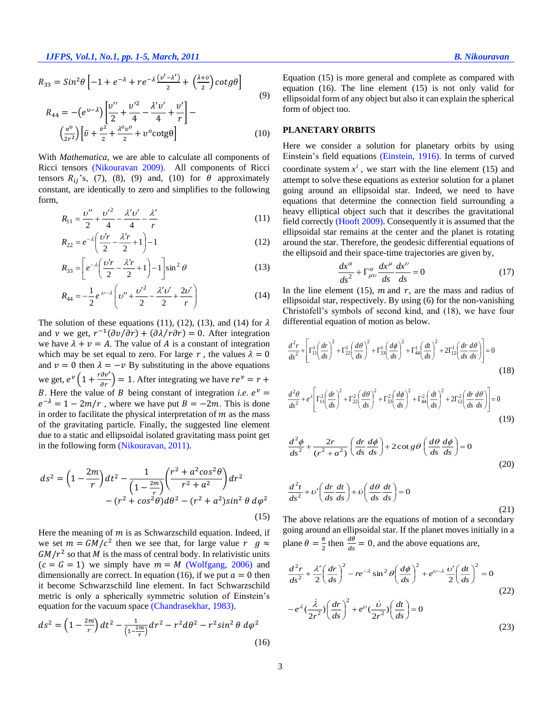$$
R_{33} = Sin^{2}\theta \left[ -1 + e^{-\lambda} + re^{-\lambda} \frac{(v'-\lambda')}{2} + \left( \frac{\lambda + v}{2} \right) cotg\theta \right]
$$
  
\n
$$
R_{44} = -(e^{v-\lambda}) \left[ \frac{v''}{2} + \frac{v'^{2}}{4} - \frac{\lambda' v'}{4} + \frac{v'}{r} \right] -
$$
\n(9)

$$
\left(\frac{e^{\upsilon}}{2r^2}\right)\left[\ddot{v} + \frac{\dot{v}^2}{2} + \frac{\lambda^0 v^0}{2} + v^0 \cot \theta\right] \tag{10}
$$

With *Mathematica*, we are able to calculate all components of Ricci tensors (Nikouravan 2009). All components of Ricci tensors  $R_{ij}$ 's, (7), (8), (9) and, (10) for  $\theta$  approximately constant, are identically to zero and simplifies to the following form,

$$
R_{11} = \frac{v''}{2} + \frac{v'^2}{4} - \frac{\lambda' v'}{4} - \frac{\lambda'}{r}
$$
 (11)

$$
R_{22} = e^{-\lambda} \left( \frac{\nu' r}{2} - \frac{\lambda' r}{2} + 1 \right) - 1 \tag{12}
$$

$$
R_{33} = \left[ e^{-\lambda} \left( \frac{\nu' r}{2} - \frac{\lambda' r}{2} + 1 \right) - 1 \right] \sin^2 \theta \tag{13}
$$

$$
R_{44} = -\frac{1}{2}e^{\nu-\lambda}\left(\nu'' + \frac{\nu'^2}{2} - \frac{\lambda'\nu'}{2} + \frac{2\nu'}{r}\right) \tag{14}
$$

The solution of these equations (11), (12), (13), and (14) for  $\lambda$ and v we get,  $r^{-1}(\partial v/\partial r) + (\partial \lambda/r \partial r) = 0$ . After integration we have  $\lambda + v = A$ . The value of A is a constant of integration which may be set equal to zero. For large r, the values  $\lambda = 0$ and  $v = 0$  then  $\lambda = -v$  By substituting in the above equations we get,  $e^{\nu} \left( 1 + \frac{r \partial \nu'}{\partial r} \right) = 1$ . After integrating we have  $re^{\nu} = r + \frac{r \partial \nu'}{\partial r}$ B. Here the value of B being constant of integration *i.e.*  $e^v$  =  $e^{-\lambda} = 1 - 2m/r$ , where we have put  $B = -2m$ . This is done in order to facilitate the physical interpretation of  $m$  as the mass of the gravitating particle. Finally, the suggested line element due to a static and ellipsoidal isolated gravitating mass point get in the following form (Nikouravan, 2011).

$$
ds^{2} = \left(1 - \frac{2m}{r}\right)dt^{2} - \frac{1}{\left(1 - \frac{2m}{r}\right)}\left(\frac{r^{2} + a^{2}cos^{2}\theta}{r^{2} + a^{2}}\right)dr^{2} - (r^{2} + cos^{2}\theta)d\theta^{2} - (r^{2} + a^{2})sin^{2}\theta d\varphi^{2}
$$
\n(15)

Here the meaning of  $m$  is as Schwarzschild equation. Indeed, if we set  $m = GM/c^2$  then we see that, for large value  $r \text{ } g \approx$  $GM/r^2$  so that M is the mass of central body. In relativistic units  $(c = G = 1)$  we simply have  $m = M$  (Wolfgang, 2006) and dimensionally are correct. In equation (16), if we put  $a = 0$  then it become Schwarzschild line element. In fact Schwarzschild metric is only a spherically symmetric solution of Einstein's equation for the vacuum space (Chandrasekhar, 1983).

$$
ds^{2} = \left(1 - \frac{2m}{r}\right)dt^{2} - \frac{1}{\left(1 - \frac{2m}{r}\right)}dr^{2} - r^{2}d\theta^{2} - r^{2}\sin^{2}\theta \,d\varphi^{2}
$$
\n(16)

Equation (15) is more general and complete as compared with equation (16). The line element (15) is not only valid for ellipsoidal form of any object but also it can explain the spherical form of object too.

### **PLANETARY ORBITS**

Here we consider a solution for planetary orbits by using Einstein's field equations (Einstein, 1916). In terms of curved coordinate system  $x^i$ , we start with the line element (15) and attempt to solve these equations as exterior solution for a planet going around an ellipsoidal star. Indeed, we need to have equations that determine the connection field surrounding a heavy elliptical object such that it describes the gravitational field correctly (Hooft 2009). Consequently it is assumed that the ellipsoidal star remains at the center and the planet is rotating around the star. Therefore, the geodesic differential equations of the ellipsoid and their space-time trajectories are given by,

$$
\frac{dx^{\alpha}}{ds^2} + \Gamma^{\alpha}_{\mu\nu}\frac{dx^{\mu}}{ds}\frac{dx^{\nu}}{ds} = 0
$$
 (17)

In the line element (15),  $m$  and  $r$ , are the mass and radius of ellipsoidal star, respectively. By using (6) for the non-vanishing Christofell's symbols of second kind, and (18), we have four differential equation of motion as below.

$$
\frac{d^2r}{ds^2} + \left[\Gamma_{11}^1 \left(\frac{dr}{ds}\right)^2 + \Gamma_{22}^1 \left(\frac{d\theta}{ds}\right)^2 + \Gamma_{33}^1 \left(\frac{d\phi}{ds}\right)^2 + \Gamma_{44}^1 \left(\frac{dt}{ds}\right)^2 + 2\Gamma_{12}^1 \left(\frac{dr}{ds}\frac{d\theta}{ds}\right)\right] = 0\tag{18}
$$

$$
\frac{d^2\theta}{ds^2} + e^{\lambda} \left[ \Gamma_{11}^2 \left( \frac{dr}{ds} \right)^2 + \Gamma_{22}^2 \left( \frac{d\theta}{ds} \right)^2 + \Gamma_{33}^2 \left( \frac{d\phi}{ds} \right)^2 + \Gamma_{44}^2 \left( \frac{dt}{ds} \right)^2 + 2\Gamma_{12}^2 \left( \frac{dr}{ds} \frac{d\theta}{ds} \right) \right] = 0
$$
\n(19)

$$
\frac{d^2\phi}{ds^2} + \frac{2r}{(r^2 + a^2)} \left(\frac{dr}{ds}\frac{d\phi}{ds}\right) + 2\cot g\theta \left(\frac{d\theta}{ds}\frac{d\phi}{ds}\right) = 0
$$
\n(20)

$$
\frac{d^2t}{ds^2} + v'\left(\frac{dr}{ds}\frac{dt}{ds}\right) + v\left(\frac{d\theta}{ds}\frac{dt}{ds}\right) = 0
$$
\n(21)

The above relations are the equations of motion of a secondary going around an ellipsoidal star. If the planet moves initially in a plane  $\theta = \frac{\pi}{2}$  $\frac{\pi}{2}$  then  $\frac{d\theta}{ds} = 0$ , and the above equations are,

$$
\frac{d^2r}{ds^2} + \frac{\lambda'}{2} \left(\frac{dr}{ds}\right)^2 - re^{-\lambda}\sin^2\theta \left(\frac{d\phi}{ds}\right)^2 + e^{\nu-\lambda}\frac{\nu'}{2} \left(\frac{dt}{ds}\right)^2 = 0
$$
\n
$$
-e^{\lambda}\left(\frac{\lambda}{2r^2}\right) \left(\frac{dr}{ds}\right)^2 + e^{\nu}\left(\frac{\nu}{2r^2}\right) \left(\frac{dt}{ds}\right) = 0
$$
\n(22)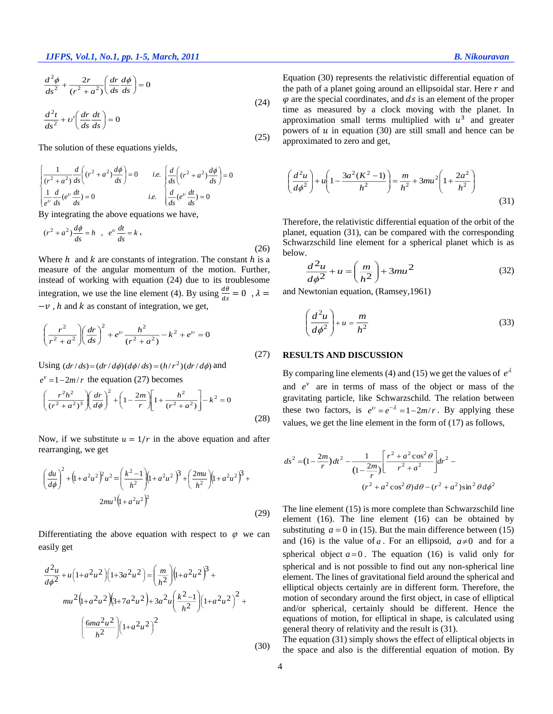$$
\frac{d^2\phi}{ds^2} + \frac{2r}{(r^2 + a^2)} \left(\frac{dr}{ds}\frac{d\phi}{ds}\right) = 0
$$
\n
$$
\frac{d^2t}{ds^2} + v' \left(\frac{dr}{ds}\frac{dt}{ds}\right) = 0
$$
\n(24)

(25)

The solution of these equations yields,

$$
\begin{cases}\n\frac{1}{(r^2 + a^2)} \frac{d}{ds} \left( (r^2 + a^2) \frac{d\phi}{ds} \right) = 0 & i.e. \left( \frac{d}{ds} \left( (r^2 + a^2) \frac{d\phi}{ds} \right) = 0 \\
\frac{1}{e^v} \frac{d}{ds} \left( e^v \frac{dt}{ds} \right) = 0 & i.e. \left( \frac{d}{ds} \left( e^v \frac{dt}{ds} \right) = 0\n\end{cases}
$$

By integrating the above equations we have,

$$
(r2 + a2)\frac{d\phi}{ds} = h \quad , \quad e^{\upsilon}\frac{dt}{ds} = k \quad , \tag{26}
$$

Where  $h$  and  $k$  are constants of integration. The constant  $h$  is a measure of the angular momentum of the motion. Further, instead of working with equation (24) due to its troublesome integration, we use the line element (4). By using  $\frac{d\theta}{ds} = 0$ ,  $\lambda =$  $-v$ , h and k as constant of integration, we get,

$$
\left(\frac{r^2}{r^2 + a^2}\right) \left(\frac{dr}{ds}\right)^2 + e^v \frac{h^2}{(r^2 + a^2)} - k^2 + e^v = 0
$$
\n(27)

Using  $(dr/ds) = (dr/d\phi)(d\phi/ds) = (h/r^2)(dr/d\phi)$  and

 $e^v = 1 - 2m/r$  the equation (27) becomes

$$
\left(\frac{r^2h^2}{(r^2+a^2)^3}\right)\left(\frac{dr}{d\phi}\right)^2 + \left(1 - \frac{2m}{r}\right)\left[1 + \frac{h^2}{(r^2+a^2)}\right] - k^2 = 0\tag{28}
$$

Now, if we substitute  $u = 1/r$  in the above equation and after rearranging, we get

$$
\left(\frac{du}{d\phi}\right)^2 + \left(1 + a^2 u^2\right)^2 u^2 = \left(\frac{k^2 - 1}{h^2}\right) \left(1 + a^2 u^2\right)^2 + \left(\frac{2mu}{h^2}\right) \left(1 + a^2 u^2\right)^2 + 2mu^3 \left(1 + a^2 u^2\right)^2
$$
\n
$$
(29)
$$

Differentiating the above equation with respect to  $\varphi$  we can easily get

$$
\frac{d^2u}{d\phi^2} + u\left(1 + a^2u^2\right)\left(1 + 3a^2u^2\right) = \left(\frac{m}{h^2}\right)\left(1 + a^2u^2\right)^3 + mu^2\left(1 + a^2u^2\right)\left(3 + 7a^2u^2\right) + 3a^2u\left(\frac{k^2 - 1}{h^2}\right)\left(1 + a^2u^2\right)^2 + \left(\frac{6ma^2u^2}{h^2}\right)\left(1 + a^2u^2\right)^2
$$
\n(30)

Equation (30) represents the relativistic differential equation of the path of a planet going around an ellipsoidal star. Here  $r$  and  $\varphi$  are the special coordinates, and  $ds$  is an element of the proper time as measured by a clock moving with the planet. In approximation small terms multiplied with  $u^3$  and greater powers of  $u$  in equation (30) are still small and hence can be approximated to zero and get,

$$
\left(\frac{d^2u}{d\phi^2}\right) + u\left(1 - \frac{3a^2(K^2 - 1)}{h^2}\right) = \frac{m}{h^2} + 3mu^2\left(1 + \frac{2a^2}{h^2}\right)
$$
\n(31)

Therefore, the relativistic differential equation of the orbit of the planet, equation (31), can be compared with the corresponding Schwarzschild line element for a spherical planet which is as below.

$$
\frac{d^2u}{d\phi^2} + u = \left(\frac{m}{h^2}\right) + 3mu^2\tag{32}
$$

and Newtonian equation, (Ramsey,1961)

$$
\left(\frac{d^2u}{d\phi^2}\right) + u = \frac{m}{h^2}
$$
\n(33)

#### **RESULTS AND DISCUSSION**

By comparing line elements (4) and (15) we get the values of  $e^{\lambda}$ and  $e^v$  are in terms of mass of the object or mass of the gravitating particle, like Schwarzschild. The relation between these two factors, is  $e^v = e^{-\lambda} = 1 - 2m/r$ . By applying these values, we get the line element in the form of (17) as follows,

$$
ds^{2} = (1 - \frac{2m}{r})dt^{2} - \frac{1}{(1 - \frac{2m}{r})} \left[ \frac{r^{2} + a^{2} \cos^{2} \theta}{r^{2} + a^{2}} \right] dr^{2} -
$$

$$
(r^{2} + a^{2} \cos^{2} \theta) d\theta - (r^{2} + a^{2}) \sin^{2} \theta d\phi^{2}
$$

The line element (15) is more complete than Schwarzschild line element (16). The line element (16) can be obtained by substituting  $a = 0$  in (15). But the main difference between (15) and (16) is the value of a. For an ellipsoid,  $a \neq 0$  and for a spherical object  $a=0$ . The equation (16) is valid only for spherical and is not possible to find out any non-spherical line element. The lines of gravitational field around the spherical and elliptical objects certainly are in different form. Therefore, the motion of secondary around the first object, in case of elliptical and/or spherical, certainly should be different. Hence the equations of motion, for elliptical in shape, is calculated using general theory of relativity and the result is (31).

The equation (31) simply shows the effect of elliptical objects in the space and also is the differential equation of motion. By